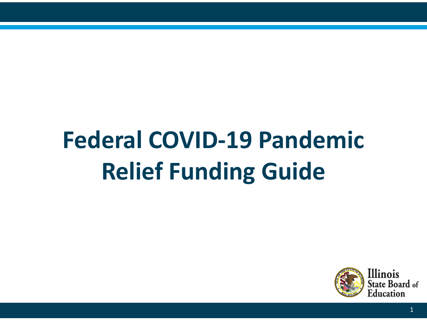# **Federal COVID-19 Pandemic Relief Funding Guide**

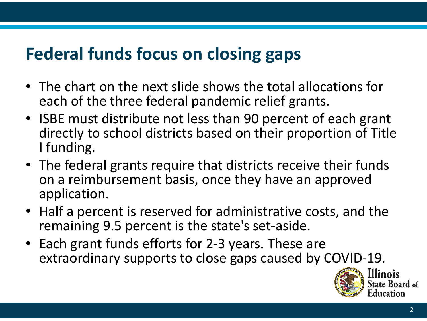## **Federal funds focus on closing gaps**

- The chart on the next slide shows the total allocations for each of the three federal pandemic relief grants.
- ISBE must distribute not less than 90 percent of each grant directly to school districts based on their proportion of Title I funding.
- The federal grants require that districts receive their funds on a reimbursement basis, once they have an approved application.
- Half a percent is reserved for administrative costs, and the remaining 9.5 percent is the state's set-aside.
- Each grant funds efforts for 2-3 years. These are extraordinary supports to close gaps caused by COVID-19.

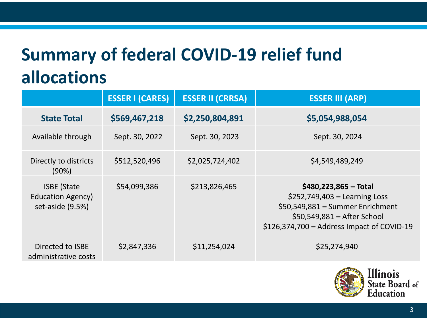## **Summary of federal COVID-19 relief fund allocations**

|                                                                    | <b>ESSER I (CARES)</b> | <b>ESSER II (CRRSA)</b> | <b>ESSER III (ARP)</b>                                                                                                                                                     |
|--------------------------------------------------------------------|------------------------|-------------------------|----------------------------------------------------------------------------------------------------------------------------------------------------------------------------|
| <b>State Total</b>                                                 | \$569,467,218          | \$2,250,804,891         | \$5,054,988,054                                                                                                                                                            |
| Available through                                                  | Sept. 30, 2022         | Sept. 30, 2023          | Sept. 30, 2024                                                                                                                                                             |
| Directly to districts<br>(90%)                                     | \$512,520,496          | \$2,025,724,402         | \$4,549,489,249                                                                                                                                                            |
| <b>ISBE (State</b><br><b>Education Agency)</b><br>set-aside (9.5%) | \$54,099,386           | \$213,826,465           | $$480,223,865 - Total$<br>$$252,749,403$ - Learning Loss<br>\$50,549,881 - Summer Enrichment<br>\$50,549,881 – After School<br>$$126,374,700 - Address$ Impact of COVID-19 |
| Directed to ISBE<br>administrative costs                           | \$2,847,336            | \$11,254,024            | \$25,274,940                                                                                                                                                               |

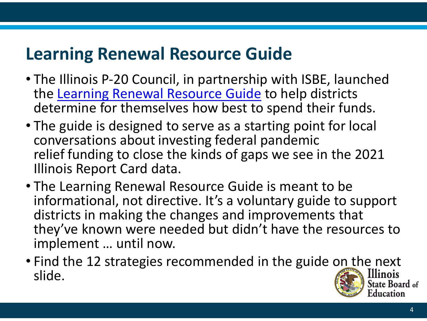## **Learning Renewal Resource Guide**

- The Illinois P-20 Council, in partnership with ISBE, launched the [Learning Renewal Resource Guide](https://www2.illinois.gov/sites/P20/Documents/P-20-Learning-Renewal-Resource-Guide-March2021-v19.pdf) to help districts determine for themselves how best to spend their funds.
- The guide is designed to serve as a starting point for local conversations about investing federal pandemic relief funding to close the kinds of gaps we see in the 2021 Illinois Report Card data.
- The Learning Renewal Resource Guide is meant to be informational, not directive. It's a voluntary guide to support districts in making the changes and improvements that they've known were needed but didn't have the resources to implement … until now.
- Find the 12 strategies recommended in the guide on the next slide. itate Board of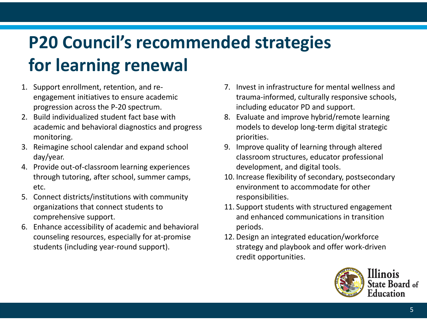## **P20 Council's recommended strategies for learning renewal**

- 1. Support enrollment, retention, and reengagement initiatives to ensure academic progression across the P-20 spectrum.
- 2. Build individualized student fact base with academic and behavioral diagnostics and progress monitoring.
- 3. Reimagine school calendar and expand school day/year.
- 4. Provide out-of-classroom learning experiences through tutoring, after school, summer camps, etc.
- 5. Connect districts/institutions with community organizations that connect students to comprehensive support.
- 6. Enhance accessibility of academic and behavioral counseling resources, especially for at-promise students (including year-round support).
- 7. Invest in infrastructure for mental wellness and trauma-informed, culturally responsive schools, including educator PD and support.
- 8. Evaluate and improve hybrid/remote learning models to develop long-term digital strategic priorities.
- 9. Improve quality of learning through altered classroom structures, educator professional development, and digital tools.
- 10. Increase flexibility of secondary, postsecondary environment to accommodate for other responsibilities.
- 11. Support students with structured engagement and enhanced communications in transition periods.
- 12. Design an integrated education/workforce strategy and playbook and offer work-driven credit opportunities.

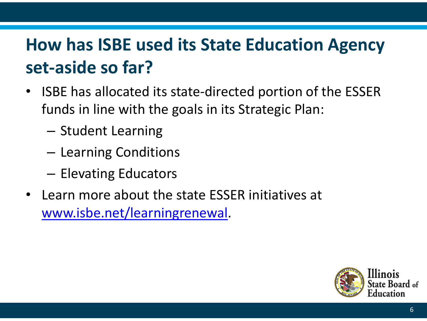## **How has ISBE used its State Education Agency set-aside so far?**

- ISBE has allocated its state-directed portion of the ESSER funds in line with the goals in its Strategic Plan:
	- Student Learning
	- Learning Conditions
	- Elevating Educators
- Learn more about the state ESSER initiatives at [www.isbe.net/learningrenewal](http://www.isbe.net/learningrenewal).

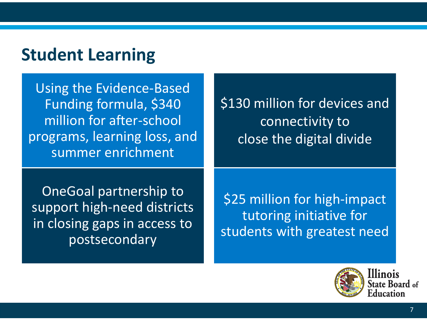### **Student Learning**

Using the Evidence-Based Funding formula, \$340 million for after-school programs, learning loss, and summer enrichment

\$130 million for devices and connectivity to close the digital divide

OneGoal partnership to support high-need districts in closing gaps in access to postsecondary

\$25 million for high-impact tutoring initiative for students with greatest need



7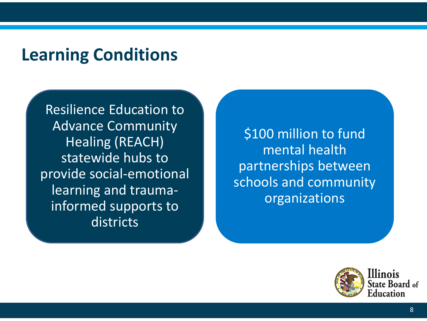#### **Learning Conditions**

Resilience Education to Advance Community Healing (REACH) statewide hubs to provide social-emotional learning and traumainformed supports to districts

\$100 million to fund mental health partnerships between schools and community organizations

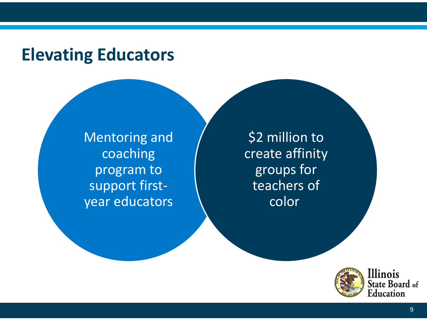#### **Elevating Educators**

Mentoring and coaching program to support firstyear educators

\$2 million to create affinity groups for teachers of color